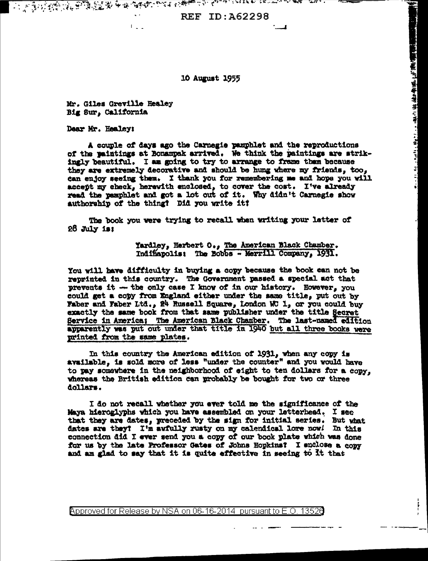**REF ID: A62298** 

## 10 August 1955

Mr. Giles Greville Healey Big Sur, California

 $\mathbb{C}^2$  .

Dear Mr. Healey:

A couple of days ago the Carnegie pamphlet and the reproductions of the paintings at Bonampak arrived. We think the paintings are strikingly beautiful. I am going to try to arrange to frame them because they are extremely decorative and should be hung where my friends, too. can enjoy seeing them. I thank you for remembering me and hope you will accept my check, herewith enclosed, to cover the cost. I've already read the pemphlet and got a lot out of it. Why didn't Carnegie show authorship of the thing? Did you write it?

The book you were trying to recall when writing your letter of  $28$  July is:

> Yardley, Herbert O., The American Black Chamber. Indinapolis: The Bobbs - Merrill Company, 1931.

- The Control of the Maria State of the State of the State of the State of the State of the State of the State of the State of the State of the State of the State of the State of the State of the State of the State of th

You will have difficulty in buying a copy because the book can not be reprinted in this country. The Government passed a special act that prevents it -- the only case I know of in our history. However, you could get a copy from England either under the same title, put out by Faber and Faber Ltd., 24 Russell Square, London WC 1, or you could buy exactly the same book from that same publisher under the title Secret Service in America; The American Black Chamber. The last-named edition apparently was put out under that title in 1940 but all three books were printed from the same plates.

In this country the American edition of 1931, when any copy is available, is sold more of less "under the counter" and you would have to pay somewhere in the neighborhood of eight to ten dollars for a copy. whereas the British edition can probably be bought for two or three dollars.

I do not recall whether you ever told me the significance of the Maya hieroglyphs which you have assembled on your letterhead. I see that they are dates, preceded by the sign for initial series. But what dates are they? I'm awfully rusty on my calendical lore now! In this connection did I ever send you a copy of our book plate which was done for us by the late Professor Gates of Johns Hopkins? I enclose a copy and am glad to say that it is quite effective in seeing to it that

Approved for Release by NSA on 06-16-2014 pursuant to E.O. 13526